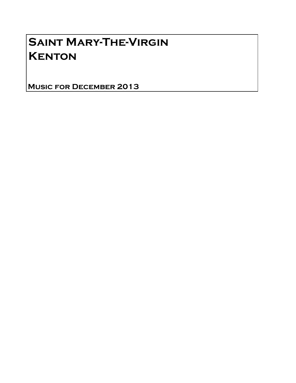# Saint Mary-The-Virgin **KENTON**

Music for December 2013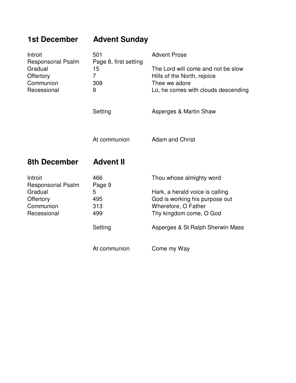| <b>1st December</b>                                                                      | <b>Advent Sunday</b>                                             |                                                                                                                           |
|------------------------------------------------------------------------------------------|------------------------------------------------------------------|---------------------------------------------------------------------------------------------------------------------------|
| Introit<br><b>Responsorial Psalm</b><br>Gradual<br>Offertory<br>Communion<br>Recessional | 501<br>Page 8, first setting<br>15<br>$\overline{7}$<br>308<br>9 | <b>Advent Prose</b>                                                                                                       |
|                                                                                          |                                                                  | The Lord will come and not be slow<br>Hills of the North, rejoice<br>Thee we adore<br>Lo, he comes with clouds descending |
|                                                                                          | Setting                                                          | Asperges & Martin Shaw                                                                                                    |
|                                                                                          | At communion                                                     | <b>Adam and Christ</b>                                                                                                    |
| <b>8th December</b>                                                                      | <b>Advent II</b>                                                 |                                                                                                                           |
| Introit<br><b>Responsorial Psalm</b>                                                     | 466<br>Page 9                                                    | Thou whose almighty word                                                                                                  |
| Gradual                                                                                  | 5                                                                | Hark, a herald voice is calling                                                                                           |
| Offertory                                                                                | 495                                                              | God is working his purpose out                                                                                            |
| Communion                                                                                | 313                                                              | Wherefore, O Father                                                                                                       |
| Recessional                                                                              | 499                                                              | Thy kingdom come, O God                                                                                                   |
|                                                                                          | Setting                                                          | Asperges & St Ralph Sherwin Mass                                                                                          |
|                                                                                          |                                                                  |                                                                                                                           |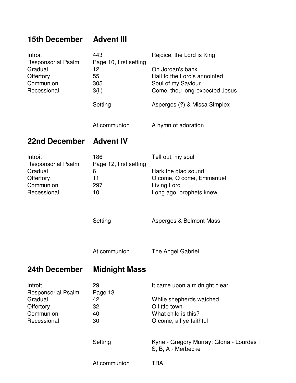### **15th December Advent III**

| <b>22nd December</b>                                                          | <b>Advent IV</b>                                   |                                                                                                          |
|-------------------------------------------------------------------------------|----------------------------------------------------|----------------------------------------------------------------------------------------------------------|
|                                                                               | At communion                                       | A hymn of adoration                                                                                      |
|                                                                               | Setting                                            | Asperges (?) & Missa Simplex                                                                             |
| <b>Responsorial Psalm</b><br>Gradual<br>Offertory<br>Communion<br>Recessional | Page 10, first setting<br>12<br>55<br>305<br>3(ii) | On Jordan's bank<br>Hail to the Lord's annointed<br>Soul of my Saviour<br>Come, thou long-expected Jesus |
| Introit                                                                       | 443                                                | Rejoice, the Lord is King                                                                                |

Introit 186 Tell out, my soul Responsorial Psalm Page 12, first setting<br>Gradual 6 6 Hark the glad sound! Offertory 11 O come, O come, Emmanuel!<br>
Communion 297 Living Lord Communion 297 Recessional 10 10 Long ago, prophets knew

Setting **Asperges & Belmont Mass** 

At communion The Angel Gabriel

### **24th December Midnight Mass**

| Introit                   | 29           | It came upon a midnight clear                                    |
|---------------------------|--------------|------------------------------------------------------------------|
| <b>Responsorial Psalm</b> | Page 13      |                                                                  |
| Gradual                   | 42           | While shepherds watched                                          |
| Offertory                 | 32           | O little town                                                    |
| Communion                 | 40           | What child is this?                                              |
| Recessional               | 30           | O come, all ye faithful                                          |
|                           | Setting      | Kyrie - Gregory Murray; Gloria - Lourdes I<br>S, B, A - Merbecke |
|                           | At communion | TBA                                                              |